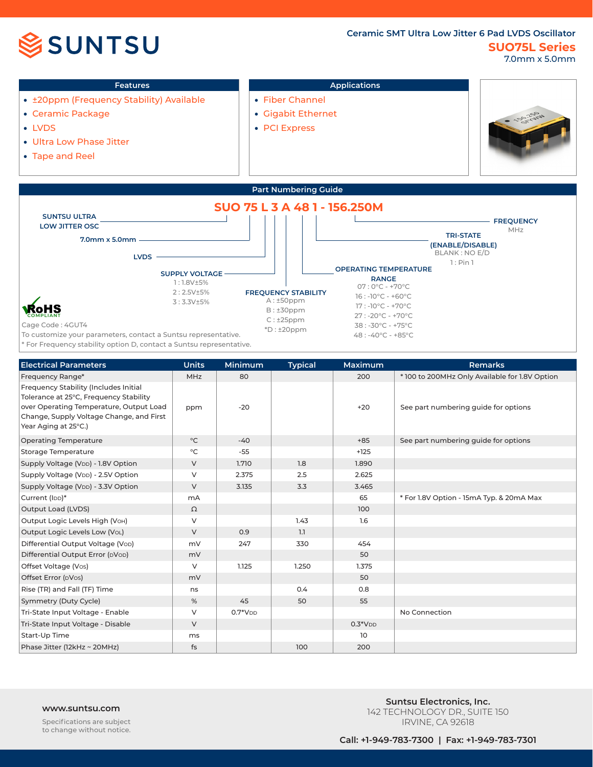



- Ceramic Package
- LVDS
- Ultra Low Phase Jitter
- Tape and Reel
- Gigabit Ethernet
- PCI Express





To customize your parameters, contact a Suntsu representative.

\* For Frequency stability option D, contact a Suntsu representative.

| <b>Electrical Parameters</b>                                                                                                                                                                   | <b>Units</b> | <b>Minimum</b> | <b>Typical</b> | Maximum   | <b>Remarks</b>                                 |
|------------------------------------------------------------------------------------------------------------------------------------------------------------------------------------------------|--------------|----------------|----------------|-----------|------------------------------------------------|
| Frequency Range*                                                                                                                                                                               | <b>MHz</b>   | 80             |                | 200       | * 100 to 200MHz Only Available for 1.8V Option |
| Frequency Stability (Includes Initial<br>Tolerance at 25°C, Frequency Stability<br>over Operating Temperature, Output Load<br>Change, Supply Voltage Change, and First<br>Year Aging at 25°C.) | ppm          | $-20$          |                | $+20$     | See part numbering guide for options           |
| <b>Operating Temperature</b>                                                                                                                                                                   | $^{\circ}$ C | $-40$          |                | $+85$     | See part numbering quide for options           |
| <b>Storage Temperature</b>                                                                                                                                                                     | $^{\circ}$ C | $-55$          |                | $+125$    |                                                |
| Supply Voltage (VDD) - 1.8V Option                                                                                                                                                             | $\vee$       | 1.710          | 1.8            | 1.890     |                                                |
| Supply Voltage (V <sub>DD</sub> ) - 2.5V Option                                                                                                                                                | V            | 2.375          | 2.5            | 2.625     |                                                |
| Supply Voltage (V <sub>DD</sub> ) - 3.3V Option                                                                                                                                                | V            | 3.135          | 3.3            | 3.465     |                                                |
| Current (IDD)*                                                                                                                                                                                 | mA           |                |                | 65        | * For 1.8V Option - 15mA Typ. & 20mA Max       |
| Output Load (LVDS)                                                                                                                                                                             | Ω            |                |                | 100       |                                                |
| Output Logic Levels High (VoH)                                                                                                                                                                 | V            |                | 1.43           | 1.6       |                                                |
| Output Logic Levels Low (VoL)                                                                                                                                                                  | $\vee$       | 0.9            | 1.1            |           |                                                |
| Differential Output Voltage (Vop)                                                                                                                                                              | mV           | 247            | 330            | 454       |                                                |
| Differential Output Error (DVOD)                                                                                                                                                               | mV           |                |                | 50        |                                                |
| Offset Voltage (Vos)                                                                                                                                                                           | $\vee$       | 1.125          | 1.250          | 1.375     |                                                |
| Offset Error (DVos)                                                                                                                                                                            | mV           |                |                | 50        |                                                |
| Rise (TR) and Fall (TF) Time                                                                                                                                                                   | ns           |                | 0.4            | 0.8       |                                                |
| Symmetry (Duty Cycle)                                                                                                                                                                          | %            | 45             | 50             | 55        |                                                |
| Tri-State Input Voltage - Enable                                                                                                                                                               | V            | $0.7*VDD$      |                |           | No Connection                                  |
| Tri-State Input Voltage - Disable                                                                                                                                                              | $\vee$       |                |                | $0.3*VDD$ |                                                |
| Start-Up Time                                                                                                                                                                                  | ms           |                |                | 10        |                                                |
| Phase Jitter (12kHz ~ 20MHz)                                                                                                                                                                   | fs           |                | 100            | 200       |                                                |

**www.suntsu.com**<br> **Suntsu.com Suntsu.com**<br> **SUNTER LINGLARY DE SULTER** 142 TECHNOLOGY DR., SUITE 150 IRVINE, CA 92618

Specifications are subject to change without notice.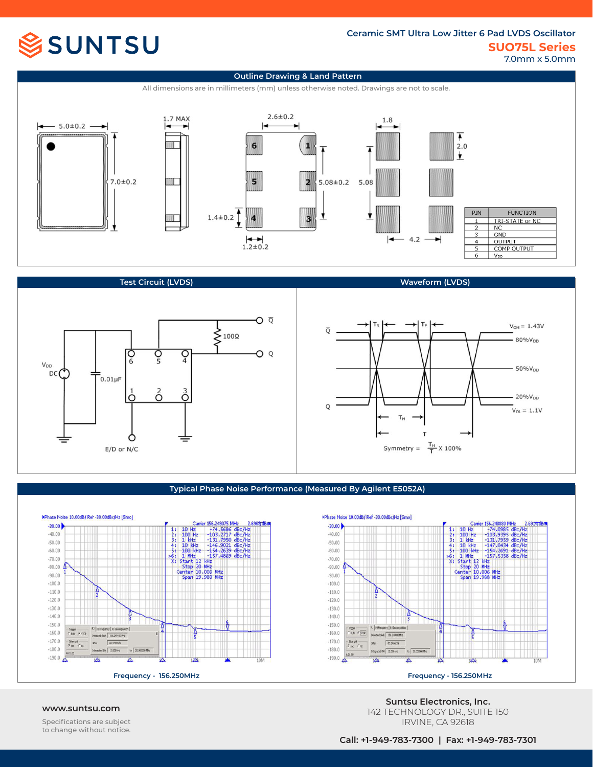# **SSUNTSU**

## **SUO75L Series Ceramic SMT Ultra Low Jitter 6 Pad LVDS Oscillator**

7.0mm x 5.0mm

20%V<sub>DD</sub>



### **Test Circuit (LVDS)**



### **Typical Phase Noise Performance (Measured By Agilent E5052A)**





Specifications are subject to change without notice.

**www.suntsu.com Suntsu Electronics, Inc.** 142 TECHNOLOGY DR., SUITE 150 IRVINE, CA 92618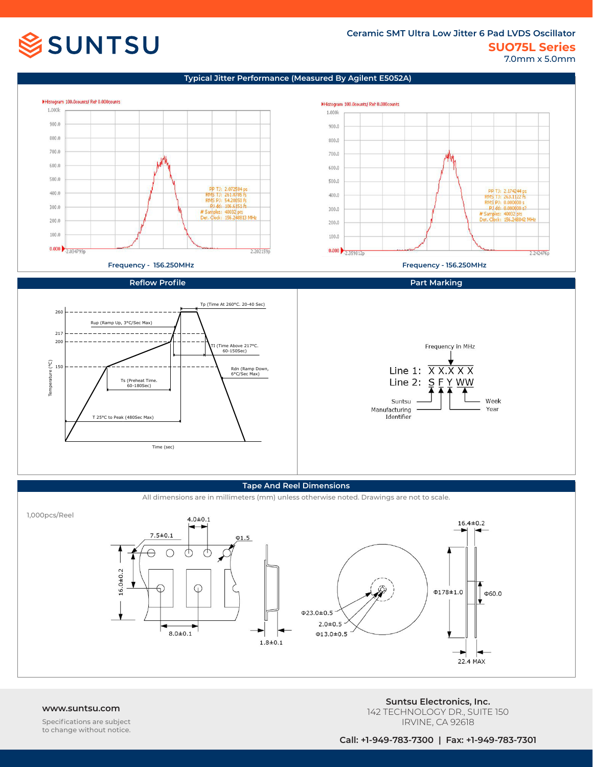# **SSUNTSU**

## **SUO75L Series Ceramic SMT Ultra Low Jitter 6 Pad LVDS Oscillator** 7.0mm x 5.0mm

### **Typical Jitter Performance (Measured By Agilent E5052A)**



### **Tape And Reel Dimensions**

All dimensions are in millimeters (mm) unless otherwise noted. Drawings are not to scale.



Specifications are subject to change without notice.

**www.suntsu.com Suntsu Electronics, Inc.** 142 TECHNOLOGY DR., SUITE 150 IRVINE, CA 92618